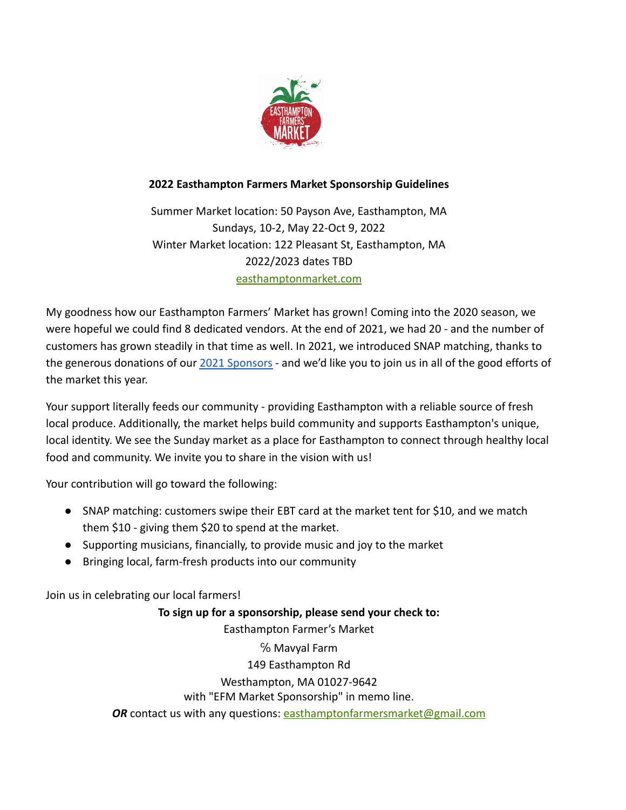

# **2022 Easthampton Farmers Market Sponsorship Guidelines**

Summer Market location: 50 Payson Ave, Easthampton, MA Sundays, 10-2, May 22-Oct 9, 2022 Winter Market location: 122 Pleasant St, Easthampton, MA 2022/2023 dates TBD [easthamptonmarket.com](https://easthamptonmarket.com/)

My goodness how our Easthampton Farmers' Market has grown! Coming into the 2020 season, we were hopeful we could find 8 dedicated vendors. At the end of 2021, we had 20 - and the number of customers has grown steadily in that time as well. In 2021, we introduced SNAP matching, thanks to the generous donations of our [2021 Sponsors](https://easthamptonmarket.com/sponsors/) - and we'd like you to join us in all of the good efforts of the market this year.

Your support literally feeds our community - providing Easthampton with a reliable source of fresh local produce. Additionally, the market helps build community and supports Easthampton's unique, local identity. We see the Sunday market as a place for Easthampton to connect through healthy local food and community. We invite you to share in the vision with us!

Your contribution will go toward the following:

- SNAP matching: customers swipe their EBT card at the market tent for \$10, and we match them \$10 - giving them \$20 to spend at the market.
- Supporting musicians, financially, to provide music and joy to the market
- Bringing local, farm-fresh products into our community

Join us in celebrating our local farmers!

**To sign up for a sponsorship, please send your check to:** Easthampton Farmer's Market ℅ Mavyal Farm 149 Easthampton Rd Westhampton, MA 01027-9642 with "EFM Market Sponsorship" in memo line. **OR** contact us with any questions: [easthamptonfarmersmarket@gmail.com](mailto:easthamptonfarmersmarket@gmail.com)